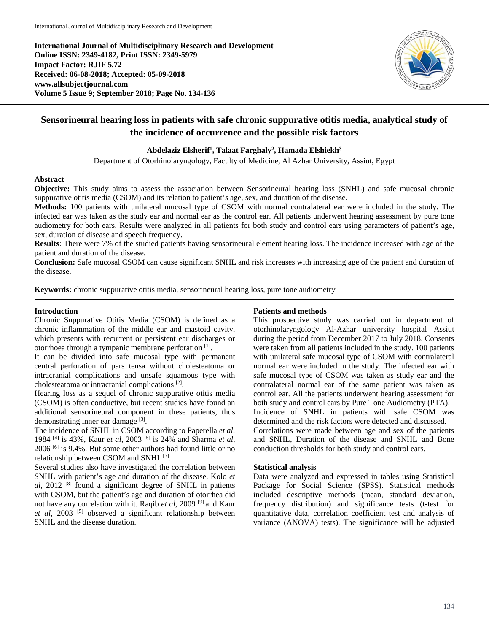**International Journal of Multidisciplinary Research and Development Online ISSN: 2349-4182, Print ISSN: 2349-5979 Impact Factor: RJIF 5.72 Received: 06-08-2018; Accepted: 05-09-2018 www.allsubjectjournal.com Volume 5 Issue 9; September 2018; Page No. 134-136**



# **Sensorineural hearing loss in patients with safe chronic suppurative otitis media, analytical study of the incidence of occurrence and the possible risk factors**

**Abdelaziz Elsherif1 , Talaat Farghaly2 , Hamada Elshiekh3**

Department of Otorhinolaryngology, Faculty of Medicine, Al Azhar University, Assiut, Egypt

## **Abstract**

**Objective:** This study aims to assess the association between Sensorineural hearing loss (SNHL) and safe mucosal chronic suppurative otitis media (CSOM) and its relation to patient's age, sex, and duration of the disease.

**Methods:** 100 patients with unilateral mucosal type of CSOM with normal contralateral ear were included in the study. The infected ear was taken as the study ear and normal ear as the control ear. All patients underwent hearing assessment by pure tone audiometry for both ears. Results were analyzed in all patients for both study and control ears using parameters of patient's age, sex, duration of disease and speech frequency.

**Results**: There were 7% of the studied patients having sensorineural element hearing loss. The incidence increased with age of the patient and duration of the disease.

**Conclusion:** Safe mucosal CSOM can cause significant SNHL and risk increases with increasing age of the patient and duration of the disease.

**Keywords:** chronic suppurative otitis media, sensorineural hearing loss, pure tone audiometry

### **Introduction**

Chronic Suppurative Otitis Media (CSOM) is defined as a chronic inflammation of the middle ear and mastoid cavity, which presents with recurrent or persistent ear discharges or otorrhoea through a tympanic membrane perforation [1].

It can be divided into safe mucosal type with permanent central perforation of pars tensa without cholesteatoma or intracranial complications and unsafe squamous type with cholesteatoma or intracranial complications [2].

Hearing loss as a sequel of chronic suppurative otitis media (CSOM) is often conductive, but recent studies have found an additional sensorineural component in these patients, thus demonstrating inner ear damage [3].

The incidence of SNHL in CSOM according to Paperella *et al*, 1984 [4] is 43%, Kaur *et al*, 2003 [5] is 24% and Sharma *et al*, 2006 [6] is 9.4%. But some other authors had found little or no relationship between CSOM and SNHL [7].

Several studies also have investigated the correlation between SNHL with patient's age and duration of the disease. Kolo *et al*, 2012 [8] found a significant degree of SNHL in patients with CSOM, but the patient's age and duration of otorrhea did not have any correlation with it. Raqib *et al*, 2009 [9] and Kaur *et al*, 2003 [5] observed a significant relationship between SNHL and the disease duration.

#### **Patients and methods**

This prospective study was carried out in department of otorhinolaryngology Al-Azhar university hospital Assiut during the period from December 2017 to July 2018. Consents were taken from all patients included in the study. 100 patients with unilateral safe mucosal type of CSOM with contralateral normal ear were included in the study. The infected ear with safe mucosal type of CSOM was taken as study ear and the contralateral normal ear of the same patient was taken as control ear. All the patients underwent hearing assessment for both study and control ears by Pure Tone Audiometry (PTA). Incidence of SNHL in patients with safe CSOM was determined and the risk factors were detected and discussed. Correlations were made between age and sex of the patients

and SNHL, Duration of the disease and SNHL and Bone conduction thresholds for both study and control ears.

## **Statistical analysis**

Data were analyzed and expressed in tables using Statistical Package for Social Science (SPSS). Statistical methods included descriptive methods (mean, standard deviation, frequency distribution) and significance tests (t-test for quantitative data, correlation coefficient test and analysis of variance (ANOVA) tests). The significance will be adjusted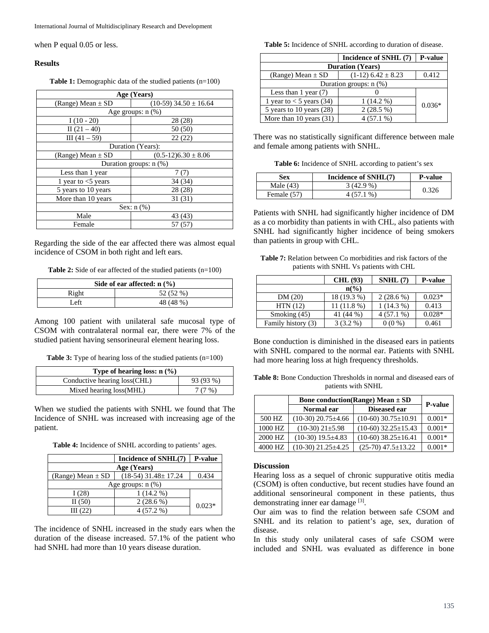when P equal 0.05 or less.

#### **Results**

**Table 1:** Demographic data of the studied patients (n=100)

| Age (Years)           |                             |  |  |
|-----------------------|-----------------------------|--|--|
| (Range) Mean $\pm$ SD | $(10-59)$ 34.50 $\pm$ 16.64 |  |  |
|                       | Age groups: $n$ $(\%)$      |  |  |
| $I(10-20)$            | 28 (28)                     |  |  |
| II $(21 - 40)$        | 50(50)                      |  |  |
| $III(41-59)$          | 22(22)                      |  |  |
|                       | Duration (Years):           |  |  |
| (Range) Mean $\pm$ SD | $(0.5-12)6.30 \pm 8.06$     |  |  |
|                       | Duration groups: $n$ (%)    |  |  |
| Less than 1 year      | 7(7)                        |  |  |
| 1 year to $<$ 5 years | 34 (34)                     |  |  |
| 5 years to 10 years   | 28 (28)                     |  |  |
| More than 10 years    | 31 (31)                     |  |  |
| Sex: $n$ $(\%)$       |                             |  |  |
| Male                  | 43 (43)                     |  |  |
| Female                | 57 (57)                     |  |  |

Regarding the side of the ear affected there was almost equal incidence of CSOM in both right and left ears.

**Table 2:** Side of ear affected of the studied patients (n=100)

| Side of ear affected: $n$ (%) |           |  |
|-------------------------------|-----------|--|
| Right                         | 52 (52 %) |  |
| Left                          | 48 (48 %) |  |

Among 100 patient with unilateral safe mucosal type of CSOM with contralateral normal ear, there were 7% of the studied patient having sensorineural element hearing loss.

**Table 3:** Type of hearing loss of the studied patients (n=100)

| Type of hearing loss: $n$ (%) |           |  |
|-------------------------------|-----------|--|
| Conductive hearing loss (CHL) | 93 (93 %) |  |
| Mixed hearing loss (MHL)      | 7(7%)     |  |

When we studied the patients with SNHL we found that The Incidence of SNHL was increased with increasing age of the patient.

| Table 4: Incidence of SNHL according to patients' ages. |  |  |  |
|---------------------------------------------------------|--|--|--|
|---------------------------------------------------------|--|--|--|

|                        | Incidence of SNHL(7)    | <b>P-value</b> |  |
|------------------------|-------------------------|----------------|--|
| Age (Years)            |                         |                |  |
| (Range) Mean $\pm$ SD  | $(18-54)$ 31.48 ± 17.24 | 0.434          |  |
| Age groups: $n$ $(\%)$ |                         |                |  |
| 1(28)                  | $1(14.2\%)$             |                |  |
| II $(50)$              | $2(28.6\%)$             | $0.023*$       |  |
| III $(22)$             | $4(57.2\%)$             |                |  |

The incidence of SNHL increased in the study ears when the duration of the disease increased. 57.1% of the patient who had SNHL had more than 10 years disease duration.

**Table 5:** Incidence of SNHL according to duration of disease.

|                            | Incidence of SNHL (7)    | <b>P-value</b> |  |
|----------------------------|--------------------------|----------------|--|
| <b>Duration</b> (Years)    |                          |                |  |
| (Range) Mean $\pm$ SD      | $(1-12)$ 6.42 $\pm$ 8.23 | 0.412          |  |
| Duration groups: $n$ (%)   |                          |                |  |
| Less than $1$ year $(7)$   |                          |                |  |
| 1 year to $<$ 5 years (34) | $1(14.2\%)$              | $0.036*$       |  |
| 5 years to 10 years $(28)$ | $2(28.5\%)$              |                |  |
| More than 10 years $(31)$  | $4(57.1\%)$              |                |  |

There was no statistically significant difference between male and female among patients with SNHL.

**Table 6:** Incidence of SNHL according to patient's sex

| Sex         | Incidence of SNHL(7) | <b>P-value</b> |
|-------------|----------------------|----------------|
| Male $(43)$ | $3(42.9\%)$          |                |
| Female (57) | 4 (57.1 %)           | 0.326          |

Patients with SNHL had significantly higher incidence of DM as a co morbidity than patients in with CHL, also patients with SNHL had significantly higher incidence of being smokers than patients in group with CHL.

**Table 7:** Relation between Co morbidities and risk factors of the patients with SNHL Vs patients with CHL

|                    | CHL(93)      | SNHL(7)     | <b>P-value</b> |
|--------------------|--------------|-------------|----------------|
| $n\binom{0}{0}$    |              |             |                |
| DM(20)             | 18 (19.3 %)  | $2(28.6\%)$ | $0.023*$       |
| HTN(12)            | $11(11.8\%)$ | $1(14.3\%)$ | 0.413          |
| Smoking (45)       | 41 (44 %)    | $4(57.1\%)$ | $0.028*$       |
| Family history (3) | $3(3.2\%)$   | $0(0\%)$    | 0.461          |

Bone conduction is diminished in the diseased ears in patients with SNHL compared to the normal ear. Patients with SNHL had more hearing loss at high frequency thresholds.

**Table 8:** Bone Conduction Thresholds in normal and diseased ears of patients with SNHL

|         | <b>Bone conduction(Range)</b> Mean $\pm$ SD | <b>P-value</b>              |          |
|---------|---------------------------------------------|-----------------------------|----------|
|         | Normal ear                                  | Diseased ear                |          |
| 500 HZ  | $(10-30)$ 20.75 $\pm$ 4.66                  | $(10-60)$ 30.75 $\pm$ 10.91 | $0.001*$ |
| 1000 HZ | $(10-30)$ $21\pm5.98$                       | $(10-60)$ 32.25 $\pm$ 15.43 | $0.001*$ |
| 2000 HZ | $(10-30)$ 19.5 $\pm$ 4.83                   | $(10-60)$ 38.25 $\pm$ 16.41 | $0.001*$ |
| 4000 HZ | $(10-30)$ 21.25 $\pm$ 4.25                  | $(25-70)$ 47.5 $\pm$ 13.22  | $0.001*$ |

#### **Discussion**

Hearing loss as a sequel of chronic suppurative otitis media (CSOM) is often conductive, but recent studies have found an additional sensorineural component in these patients, thus demonstrating inner ear damage [3].

Our aim was to find the relation between safe CSOM and SNHL and its relation to patient's age, sex, duration of disease.

In this study only unilateral cases of safe CSOM were included and SNHL was evaluated as difference in bone